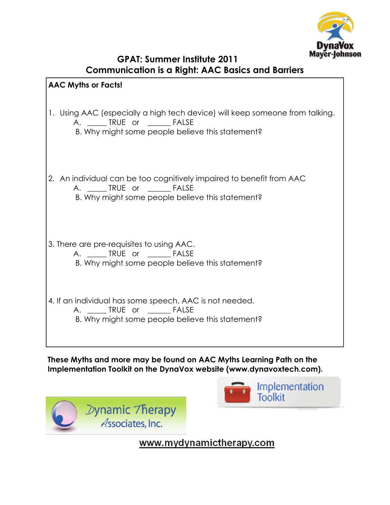

| <b>GPAT: Summer Institute 2011</b>                       |
|----------------------------------------------------------|
| <b>Communication is a Right: AAC Basics and Barriers</b> |

| <b>AAC Myths or Facts!</b>                                                                                                                                          |
|---------------------------------------------------------------------------------------------------------------------------------------------------------------------|
| 1. Using AAC (especially a high tech device) will keep someone from talking.<br>A. ______ TRUE or _______ FALSE<br>B. Why might some people believe this statement? |
| 2. An individual can be too cognitively impaired to benefit from AAC<br>A. ______ TRUE or _______ FALSE<br>B. Why might some people believe this statement?         |
| 3. There are pre-requisites to using AAC.<br>A. ______ TRUE or _______ FALSE<br>B. Why might some people believe this statement?                                    |
| 4. If an individual has some speech, AAC is not needed.<br>A. ______ TRUE or _______ FALSE<br>B. Why might some people believe this statement?                      |

**These Myths and more may be found on AAC Myths Learning Path on the Implementation Toolkit on the DynaVox website (www.dynavoxtech.com).** 

> Dynamic Therapy Associates, Inc.



www.mydynamictherapy.com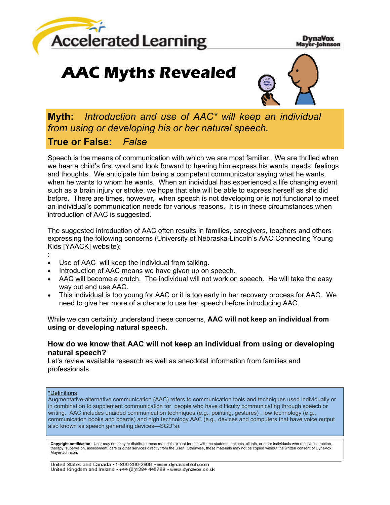

#### **DynaVox** Mayer-Johnson

# **AAC Myths Revealed**



**Myth:** *Introduction and use of AAC\* will keep an individual from using or developing his or her natural speech.* **True or False:** *False*

Speech is the means of communication with which we are most familiar. We are thrilled when we hear a child's first word and look forward to hearing him express his wants, needs, feelings and thoughts. We anticipate him being a competent communicator saying what he wants, when he wants to whom he wants. When an individual has experienced a life changing event such as a brain injury or stroke, we hope that she will be able to express herself as she did before. There are times, however, when speech is not developing or is not functional to meet an individual's communication needs for various reasons. It is in these circumstances when introduction of AAC is suggested.

The suggested introduction of AAC often results in families, caregivers, teachers and others expressing the following concerns (University of Nebraska-Lincoln's AAC Connecting Young Kids [YAACK] website):

- :
- Use of AAC will keep the individual from talking.
- Introduction of AAC means we have given up on speech.
- AAC will become a crutch. The individual will not work on speech. He will take the easy way out and use AAC.
- This individual is too young for AAC or it is too early in her recovery process for AAC. We need to give her more of a chance to use her speech before introducing AAC.

While we can certainly understand these concerns, **AAC will not keep an individual from using or developing natural speech.** 

# **How do we know that AAC will not keep an individual from using or developing natural speech?**

Let's review available research as well as anecdotal information from families and professionals.

#### \*Definitions

Augmentative-alternative communication (AAC) refers to communication tools and techniques used individually or in combination to supplement communication for people who have difficulty communicating through speech or writing. AAC includes unaided communication techniques (e.g., pointing, gestures) , low technology (e.g., communication books and boards) and high technology AAC (e.g., devices and computers that have voice output also known as speech generating devices—SGD"s).

**Copyright notification:** User may not copy or distribute these materials except for use with the students, patients, clients, or other individuals who receive instruction, therapy, supervision, assessment, care or other services directly from the User. Otherwise, these materials may not be copied without the written consent of DynaVox Mayer-Johnson.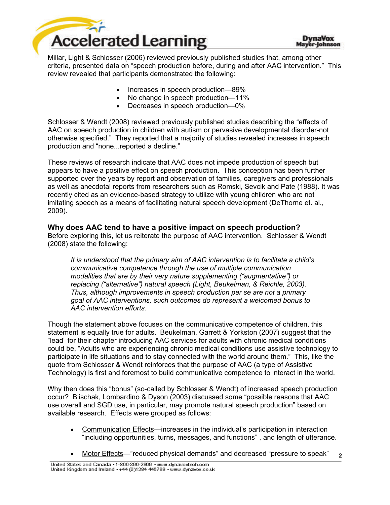

Millar, Light & Schlosser (2006) reviewed previously published studies that, among other criteria, presented data on "speech production before, during and after AAC intervention." This review revealed that participants demonstrated the following:

- Increases in speech production—89%
- No change in speech production—11%
- Decreases in speech production—0%

Schlosser & Wendt (2008) reviewed previously published studies describing the "effects of AAC on speech production in children with autism or pervasive developmental disorder-not otherwise specified." They reported that a majority of studies revealed increases in speech production and "none...reported a decline."

These reviews of research indicate that AAC does not impede production of speech but appears to have a positive effect on speech production. This conception has been further supported over the years by report and observation of families, caregivers and professionals as well as anecdotal reports from researchers such as Romski, Sevcik and Pate (1988). It was recently cited as an evidence-based strategy to utilize with young children who are not imitating speech as a means of facilitating natural speech development (DeThorne et. al., 2009).

**Why does AAC tend to have a positive impact on speech production?** Before exploring this, let us reiterate the purpose of AAC intervention. Schlosser & Wendt (2008) state the following:

*It is understood that the primary aim of AAC intervention is to facilitate a child's communicative competence through the use of multiple communication modalities that are by their very nature supplementing ("augmentative") or replacing ("alternative") natural speech (Light, Beukelman, & Reichle, 2003). Thus, although improvements in speech production per se are not a primary goal of AAC interventions, such outcomes do represent a welcomed bonus to AAC intervention efforts.* 

Though the statement above focuses on the communicative competence of children, this statement is equally true for adults. Beukelman, Garrett & Yorkston (2007) suggest that the "lead" for their chapter introducing AAC services for adults with chronic medical conditions could be, "Adults who are experiencing chronic medical conditions use assistive technology to participate in life situations and to stay connected with the world around them." This, like the quote from Schlosser & Wendt reinforces that the purpose of AAC (a type of Assistive Technology) is first and foremost to build communicative competence to interact in the world.

Why then does this "bonus" (so-called by Schlosser & Wendt) of increased speech production occur? Blischak, Lombardino & Dyson (2003) discussed some "possible reasons that AAC use overall and SGD use, in particular, may promote natural speech production" based on available research. Effects were grouped as follows:

- Communication Effects—increases in the individual's participation in interaction "including opportunities, turns, messages, and functions" , and length of utterance.
- **2**  Motor Effects—"reduced physical demands" and decreased "pressure to speak"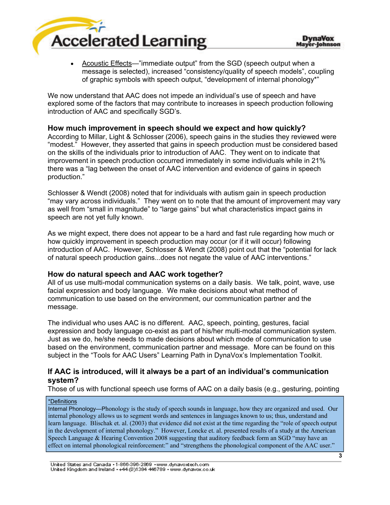

 Acoustic Effects—"immediate output" from the SGD (speech output when a message is selected), increased "consistency/quality of speech models", coupling of graphic symbols with speech output, "development of internal phonology\*"

We now understand that AAC does not impede an individual's use of speech and have explored some of the factors that may contribute to increases in speech production following introduction of AAC and specifically SGD's.

# **How much improvement in speech should we expect and how quickly?**

According to Millar, Light & Schlosser (2006), speech gains in the studies they reviewed were "modest." However, they asserted that gains in speech production must be considered based on the skills of the individuals prior to introduction of AAC. They went on to indicate that improvement in speech production occurred immediately in some individuals while in 21% there was a "lag between the onset of AAC intervention and evidence of gains in speech production."

Schlosser & Wendt (2008) noted that for individuals with autism gain in speech production "may vary across individuals." They went on to note that the amount of improvement may vary as well from "small in magnitude" to "large gains" but what characteristics impact gains in speech are not yet fully known.

As we might expect, there does not appear to be a hard and fast rule regarding how much or how quickly improvement in speech production may occur (or if it will occur) following introduction of AAC. However, Schlosser & Wendt (2008) point out that the "potential for lack of natural speech production gains...does not negate the value of AAC interventions."

# **How do natural speech and AAC work together?**

All of us use multi-modal communication systems on a daily basis. We talk, point, wave, use facial expression and body language. We make decisions about what method of communication to use based on the environment, our communication partner and the message.

The individual who uses AAC is no different. AAC, speech, pointing, gestures, facial expression and body language co-exist as part of his/her multi-modal communication system. Just as we do, he/she needs to made decisions about which mode of communication to use based on the environment, communication partner and message. More can be found on this subject in the "Tools for AAC Users" Learning Path in DynaVox's Implementation Toolkit.

# **If AAC is introduced, will it always be a part of an individual's communication system?**

Those of us with functional speech use forms of AAC on a daily basis (e.g., gesturing, pointing

#### \*Definitions

Internal Phonology—Phonology is the study of speech sounds in language, how they are organized and used. Our internal phonology allows us to segment words and sentences in languages known to us; thus, understand and learn language. Blischak et. al. (2003) that evidence did not exist at the time regarding the "role of speech output in the development of internal phonology." However, Loncke et. al. presented results of a study at the American Speech Language & Hearing Convention 2008 suggesting that auditory feedback form an SGD "may have an effect on internal phonological reinforcement:" and "strengthens the phonological component of the AAC user."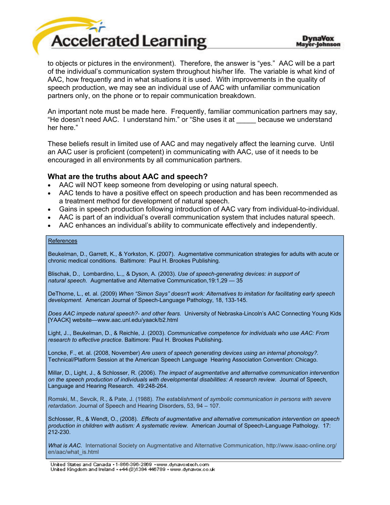

to objects or pictures in the environment). Therefore, the answer is "yes." AAC will be a part of the individual's communication system throughout his/her life. The variable is what kind of AAC, how frequently and in what situations it is used. With improvements in the quality of speech production, we may see an individual use of AAC with unfamiliar communication partners only, on the phone or to repair communication breakdown.

An important note must be made here. Frequently, familiar communication partners may say, "He doesn't need AAC. I understand him." or "She uses it at \_\_\_\_\_ because we understand her here."

These beliefs result in limited use of AAC and may negatively affect the learning curve. Until an AAC user is proficient (competent) in communicating with AAC, use of it needs to be encouraged in all environments by all communication partners.

### **What are the truths about AAC and speech?**

- AAC will NOT keep someone from developing or using natural speech.
- AAC tends to have a positive effect on speech production and has been recommended as a treatment method for development of natural speech.
- Gains in speech production following introduction of AAC vary from individual-to-individual.
- AAC is part of an individual's overall communication system that includes natural speech.
- AAC enhances an individual's ability to communicate effectively and independently.

#### References

Beukelman, D., Garrett, K., & Yorkston, K. (2007). Augmentative communication strategies for adults with acute or chronic medical conditions. Baltimore: Paul H. Brookes Publishing.

Blischak, D., Lombardino, L.,, & Dyson, A. (2003). *Use of speech-generating devices: in support of natural speech.* Augmentative and Alternative Communication,19:1,29 — 35

DeThorne, L., et. al. (2009) *When "Simon Says" doesn't work: Alternatives to imitation for facilitating early speech development.* American Journal of Speech-Language Pathology, 18, 133-145.

*Does AAC impede natural speech?- and other fears.* University of Nebraska-Lincoln's AAC Connecting Young Kids [YAACK] website—www.aac.unl.edu/yaack/b2.html

Light, J.., Beukelman, D., & Reichle, J. (2003). *Communicative competence for individuals who use AAC: From research to effective practice*. Baltimore: Paul H. Brookes Publishing.

Loncke, F., et. al. (2008, November) *Are users of speech generating devices using an internal phonology?.* Technical/Platform Session at the American Speech Language Hearing Association Convention: Chicago.

Millar, D., Light, J., & Schlosser, R. (2006). *The impact of augmentative and alternative communication intervention on the speech production of individuals with developmental disabilities: A research review.* Journal of Speech, Language and Hearing Research. 49:248-264.

Romski, M., Sevcik, R., & Pate, J. (1988). *The establishment of symbolic communication in persons with severe retardation*. Journal of Speech and Hearing Disorders, 53, 94 – 107.

Schlosser, R., & Wendt, O., (2008). *Effects of augmentative and alternative communication intervention on speech production in children with autism: A systematic review.* American Journal of Speech-Language Pathology. 17: 212-230.

*What is AAC.* International Society on Augmentative and Alternative Communication, http://www.isaac-online.org/ en/aac/what\_is.html

United States and Canada - 1-866-396-2869 - www.dynavoxtech.com United Kingdom and Ireland ++44 (0)1384 446789 + www.dynavox.co.uk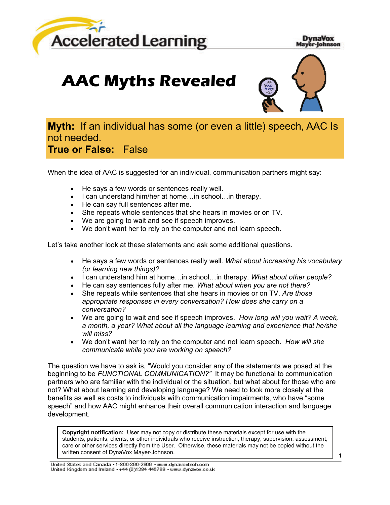

**DynaVox** Mayer-Johnson

# **AAC Myths Revealed**



# **Myth:** If an individual has some (or even a little) speech, AAC Is not needed. **True or False:** False

When the idea of AAC is suggested for an individual, communication partners might say:

- He says a few words or sentences really well.
- I can understand him/her at home... in school... in therapy.
- He can say full sentences after me.
- She repeats whole sentences that she hears in movies or on TV.
- We are going to wait and see if speech improves.
- We don't want her to rely on the computer and not learn speech.

Let's take another look at these statements and ask some additional questions.

- He says a few words or sentences really well. *What about increasing his vocabulary (or learning new things)?*
- I can understand him at home…in school…in therapy. *What about other people?*
- He can say sentences fully after me. *What about when you are not there?*
- She repeats while sentences that she hears in movies or on TV. *Are those appropriate responses in every conversation? How does she carry on a conversation?*
- We are going to wait and see if speech improves. *How long will you wait? A week, a month, a year? What about all the language learning and experience that he/she will miss?*
- We don't want her to rely on the computer and not learn speech. *How will she communicate while you are working on speech?*

The question we have to ask is, "Would you consider any of the statements we posed at the beginning to be *FUNCTIONAL COMMUNICATION?"* It may be functional to communication partners who are familiar with the individual or the situation, but what about for those who are not? What about learning and developing language? We need to look more closely at the benefits as well as costs to individuals with communication impairments, who have "some speech" and how AAC might enhance their overall communication interaction and language development.

**Copyright notification:** User may not copy or distribute these materials except for use with the students, patients, clients, or other individuals who receive instruction, therapy, supervision, assessment, care or other services directly from the User. Otherwise, these materials may not be copied without the written consent of DynaVox Mayer-Johnson.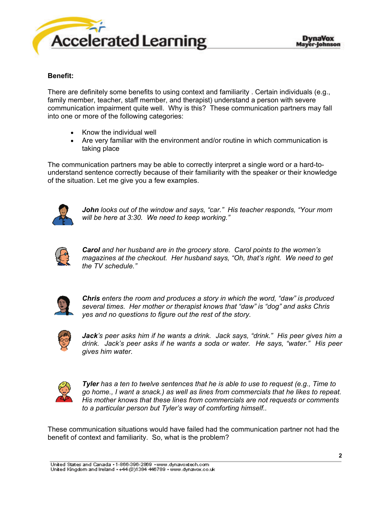

### **Benefit:**

There are definitely some benefits to using context and familiarity . Certain individuals (e.g., family member, teacher, staff member, and therapist) understand a person with severe communication impairment quite well. Why is this? These communication partners may fall into one or more of the following categories:

- Know the individual well
- Are very familiar with the environment and/or routine in which communication is taking place

The communication partners may be able to correctly interpret a single word or a hard-tounderstand sentence correctly because of their familiarity with the speaker or their knowledge of the situation. Let me give you a few examples.



*John looks out of the window and says, "car." His teacher responds, "Your mom will be here at 3:30. We need to keep working."* 



*Carol and her husband are in the grocery store. Carol points to the women's magazines at the checkout. Her husband says, "Oh, that's right. We need to get the TV schedule."* 



*Chris enters the room and produces a story in which the word, "daw" is produced several times. Her mother or therapist knows that "daw" is "dog" and asks Chris yes and no questions to figure out the rest of the story.* 



*Jack's peer asks him if he wants a drink. Jack says, "drink." His peer gives him a drink. Jack's peer asks if he wants a soda or water. He says, "water." His peer gives him water.* 



*Tyler has a ten to twelve sentences that he is able to use to request (e.g., Time to go home., I want a snack.) as well as lines from commercials that he likes to repeat. His mother knows that these lines from commercials are not requests or comments to a particular person but Tyler's way of comforting himself..* 

These communication situations would have failed had the communication partner not had the benefit of context and familiarity. So, what is the problem?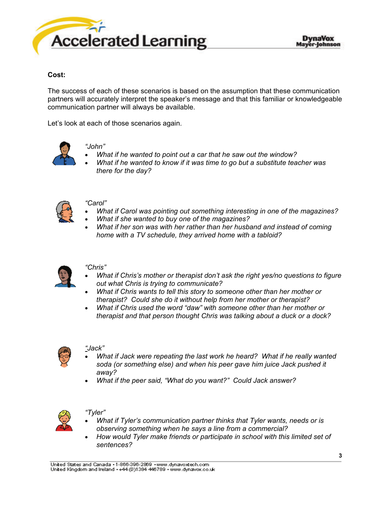

# **Cost:**

The success of each of these scenarios is based on the assumption that these communication partners will accurately interpret the speaker's message and that this familiar or knowledgeable communication partner will always be available.

Let's look at each of those scenarios again.



- *"John"*
- *What if he wanted to point out a car that he saw out the window?*
- *What if he wanted to know if it was time to go but a substitute teacher was there for the day?*



#### *"Carol"*

- *What if Carol was pointing out something interesting in one of the magazines?*
- *What if she wanted to buy one of the magazines?*
- *What if her son was with her rather than her husband and instead of coming home with a TV schedule, they arrived home with a tabloid?*



#### *"Chris"*

- *What if Chris's mother or therapist don't ask the right yes/no questions to figure out what Chris is trying to communicate?*
- *What if Chris wants to tell this story to someone other than her mother or therapist? Could she do it without help from her mother or therapist?*
- *What if Chris used the word "daw" with someone other than her mother or therapist and that person thought Chris was talking about a duck or a dock?*



#### *"Jack"*

- *What if Jack were repeating the last work he heard? What if he really wanted soda (or something else) and when his peer gave him juice Jack pushed it away?*
- *What if the peer said, "What do you want?" Could Jack answer?*



#### *"Tyler"*

- *What if Tyler's communication partner thinks that Tyler wants, needs or is observing something when he says a line from a commercial?*
- *How would Tyler make friends or participate in school with this limited set of sentences?*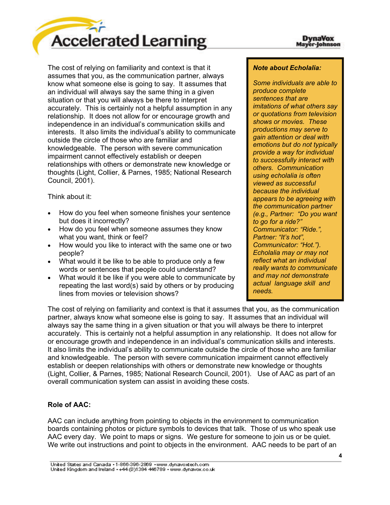

The cost of relying on familiarity and context is that it assumes that you, as the communication partner, always know what someone else is going to say. It assumes that an individual will always say the same thing in a given situation or that you will always be there to interpret accurately. This is certainly not a helpful assumption in any relationship. It does not allow for or encourage growth and independence in an individual's communication skills and interests. It also limits the individual's ability to communicate outside the circle of those who are familiar and knowledgeable. The person with severe communication impairment cannot effectively establish or deepen relationships with others or demonstrate new knowledge or thoughts (Light, Collier, & Parnes, 1985; National Research Council, 2001).

Think about it:

- How do you feel when someone finishes your sentence but does it incorrectly?
- How do you feel when someone assumes they know what you want, think or feel?
- How would you like to interact with the same one or two people?
- What would it be like to be able to produce only a few words or sentences that people could understand?
- What would it be like if you were able to communicate by repeating the last word(s) said by others or by producing lines from movies or television shows?

### *Note about Echolalia:*

*Some individuals are able to produce complete sentences that are imitations of what others say or quotations from television shows or movies. These productions may serve to gain attention or deal with emotions but do not typically provide a way for individual to successfully interact with others. Communication using echolalia is often viewed as successful because the individual appears to be agreeing with the communication partner (e.g., Partner: "Do you want to go for a ride?" Communicator: "Ride.", Partner: "It's hot", Communicator: "Hot."). Echolalia may or may not reflect what an individual really wants to communicate and may not demonstrate actual language skill and needs.* 

The cost of relying on familiarity and context is that it assumes that you, as the communication partner, always know what someone else is going to say. It assumes that an individual will always say the same thing in a given situation or that you will always be there to interpret accurately. This is certainly not a helpful assumption in any relationship. It does not allow for or encourage growth and independence in an individual's communication skills and interests. It also limits the individual's ability to communicate outside the circle of those who are familiar and knowledgeable. The person with severe communication impairment cannot effectively establish or deepen relationships with others or demonstrate new knowledge or thoughts (Light, Collier, & Parnes, 1985; National Research Council, 2001). Use of AAC as part of an overall communication system can assist in avoiding these costs.

# **Role of AAC:**

AAC can include anything from pointing to objects in the environment to communication boards containing photos or picture symbols to devices that talk. Those of us who speak use AAC every day. We point to maps or signs. We gesture for someone to join us or be quiet. We write out instructions and point to objects in the environment. AAC needs to be part of an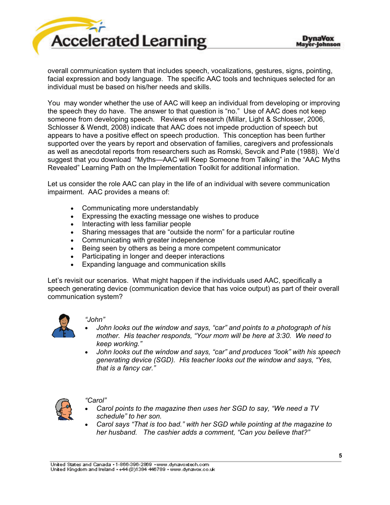

overall communication system that includes speech, vocalizations, gestures, signs, pointing, facial expression and body language. The specific AAC tools and techniques selected for an individual must be based on his/her needs and skills.

You may wonder whether the use of AAC will keep an individual from developing or improving the speech they do have. The answer to that question is "no." Use of AAC does not keep someone from developing speech. Reviews of research (Millar, Light & Schlosser, 2006, Schlosser & Wendt, 2008) indicate that AAC does not impede production of speech but appears to have a positive effect on speech production. This conception has been further supported over the years by report and observation of families, caregivers and professionals as well as anecdotal reports from researchers such as Romski, Sevcik and Pate (1988). We'd suggest that you download "Myths—AAC will Keep Someone from Talking" in the "AAC Myths Revealed" Learning Path on the Implementation Toolkit for additional information.

Let us consider the role AAC can play in the life of an individual with severe communication impairment. AAC provides a means of:

- Communicating more understandably
- Expressing the exacting message one wishes to produce
- Interacting with less familiar people
- Sharing messages that are "outside the norm" for a particular routine
- Communicating with greater independence
- Being seen by others as being a more competent communicator
- Participating in longer and deeper interactions
- Expanding language and communication skills

Let's revisit our scenarios. What might happen if the individuals used AAC, specifically a speech generating device (communication device that has voice output) as part of their overall communication system?



#### *"John"*

- *John looks out the window and says, "car" and points to a photograph of his mother. His teacher responds, "Your mom will be here at 3:30. We need to keep working."*
- *John looks out the window and says, "car" and produces "look" with his speech generating device (SGD). His teacher looks out the window and says, "Yes, that is a fancy car."*



#### *"Carol"*

- *Carol points to the magazine then uses her SGD to say, "We need a TV schedule" to her son.*
- *Carol says "That is too bad." with her SGD while pointing at the magazine to her husband. The cashier adds a comment, "Can you believe that?"*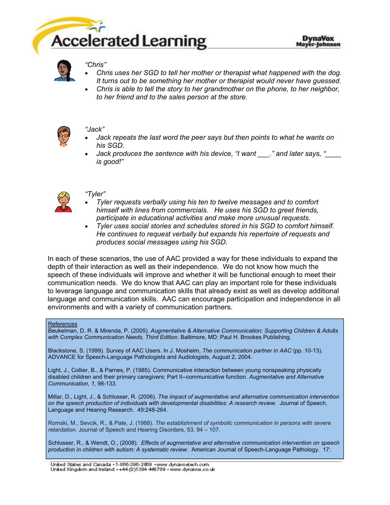



#### *"Chris"*

- *Chris uses her SGD to tell her mother or therapist what happened with the dog. It turns out to be something her mother or therapist would never have guessed.*
- *Chris is able to tell the story to her grandmother on the phone, to her neighbor, to her friend and to the sales person at the store.*



#### *"Jack"*

- *Jack repeats the last word the peer says but then points to what he wants on his SGD.*
- *Jack produces the sentence with his device, "I want \_\_\_." and later says, "\_\_\_\_ is good!"*



### *"Tyler"*

- *Tyler requests verbally using his ten to twelve messages and to comfort himself with lines from commercials. He uses his SGD to greet friends, participate in educational activities and make more unusual requests.*
- *Tyler uses social stories and schedules stored in his SGD to comfort himself. He continues to request verbally but expands his repertoire of requests and produces social messages using his SGD.*

In each of these scenarios, the use of AAC provided a way for these individuals to expand the depth of their interaction as well as their independence. We do not know how much the speech of these individuals will improve and whether it will be functional enough to meet their communication needs. We do know that AAC can play an important role for these individuals to leverage language and communication skills that already exist as well as develop additional language and communication skills. AAC can encourage participation and independence in all environments and with a variety of communication partners.

#### References

Beukelman, D. R. & Mirenda, P. (2005). *Augmentative & Alternative Communication: Supporting Children & Adults with Complex Communication Needs, Third Edition*. Baltimore, MD: Paul H. Brookes Publishing.

Blackstone, S. (1999). Survey of AAC Users. In J. Mosheim, *The communication partner in AAC* (pp. 10-13). ADVANCE for Speech-Language Pathologists and Audiologists, August 2, 2004.

Light, J., Collier, B., & Parnes, P. (1985). Communicative interaction between young nonspeaking physically disabled children and their primary caregivers: Part II--communicative function. *Augmentative and Alternative Communication, 1,* 98-133.

Millar, D., Light, J., & Schlosser, R. (2006). *The impact of augmentative and alternative communication intervention*  on the speech production of individuals with developmental disabilities: A research review. Journal of Speech, Language and Hearing Research. 49:248-264.

Romski, M., Sevcik, R., & Pate, J. (1988). *The establishment of symbolic communication in persons with severe retardation*. Journal of Speech and Hearing Disorders, 53, 94 – 107.

Schlosser, R., & Wendt, O., (2008). *Effects of augmentative and alternative communication intervention on speech production in children with autism: A systematic review.* American Journal of Speech-Language Pathology. 17:

United States and Canada - 1-866-396-2869 - www.dynavoxtech.com United Kingdom and Ireland ++44 (0)1384 446789 + www.dynavox.co.uk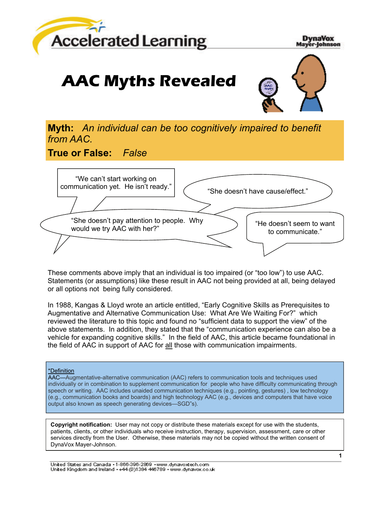

**DynaVox** Mayer-Johnson

# **AAC Myths Revealed**



**Myth:** *An individual can be too cognitively impaired to benefit from AAC.*

**True or False:** *False*



These comments above imply that an individual is too impaired (or "too low") to use AAC. Statements (or assumptions) like these result in AAC not being provided at all, being delayed or all options not being fully considered.

In 1988, Kangas & Lloyd wrote an article entitled, "Early Cognitive Skills as Prerequisites to Augmentative and Alternative Communication Use: What Are We Waiting For?" which reviewed the literature to this topic and found no "sufficient data to support the view" of the above statements. In addition, they stated that the "communication experience can also be a vehicle for expanding cognitive skills." In the field of AAC, this article became foundational in the field of AAC in support of AAC for all those with communication impairments.

#### \*Definition

AAC—Augmentative-alternative communication (AAC) refers to communication tools and techniques used individually or in combination to supplement communication for people who have difficulty communicating through speech or writing. AAC includes unaided communication techniques (e.g., pointing, gestures) , low technology (e.g., communication books and boards) and high technology AAC (e.g., devices and computers that have voice output also known as speech generating devices—SGD"s).

**Copyright notification:** User may not copy or distribute these materials except for use with the students, patients, clients, or other individuals who receive instruction, therapy, supervision, assessment, care or other services directly from the User. Otherwise, these materials may not be copied without the written consent of DynaVox Mayer-Johnson.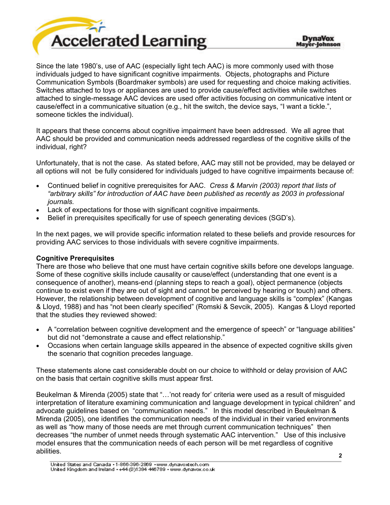

Since the late 1980's, use of AAC (especially light tech AAC) is more commonly used with those individuals judged to have significant cognitive impairments. Objects, photographs and Picture Communication Symbols (Boardmaker symbols) are used for requesting and choice making activities. Switches attached to toys or appliances are used to provide cause/effect activities while switches attached to single-message AAC devices are used offer activities focusing on communicative intent or cause/effect in a communicative situation (e.g., hit the switch, the device says, "I want a tickle.", someone tickles the individual).

It appears that these concerns about cognitive impairment have been addressed. We all agree that AAC should be provided and communication needs addressed regardless of the cognitive skills of the individual, right?

Unfortunately, that is not the case. As stated before, AAC may still not be provided, may be delayed or all options will not be fully considered for individuals judged to have cognitive impairments because of:

- Continued belief in cognitive prerequisites for AAC. *Cress & Marvin (2003) report that lists of "arbitrary skills" for introduction of AAC have been published as recently as 2003 in professional journals.*
- Lack of expectations for those with significant cognitive impairments.
- Belief in prerequisites specifically for use of speech generating devices (SGD's).

In the next pages, we will provide specific information related to these beliefs and provide resources for providing AAC services to those individuals with severe cognitive impairments.

#### **Cognitive Prerequisites**

There are those who believe that one must have certain cognitive skills before one develops language. Some of these cognitive skills include causality or cause/effect (understanding that one event is a consequence of another), means-end (planning steps to reach a goal), object permanence (objects continue to exist even if they are out of sight and cannot be perceived by hearing or touch) and others. However, the relationship between development of cognitive and language skills is "complex" (Kangas & Lloyd, 1988) and has "not been clearly specified" (Romski & Sevcik, 2005). Kangas & Lloyd reported that the studies they reviewed showed:

- A "correlation between cognitive development and the emergence of speech" or "language abilities" but did not "demonstrate a cause and effect relationship."
- Occasions when certain language skills appeared in the absence of expected cognitive skills given the scenario that cognition precedes language.

These statements alone cast considerable doubt on our choice to withhold or delay provision of AAC on the basis that certain cognitive skills must appear first.

Beukelman & Mirenda (2005) state that "…'not ready for' criteria were used as a result of misguided interpretation of literature examining communication and language development in typical children" and advocate guidelines based on "communication needs." In this model described in Beukelman & Mirenda (2005), one identifies the communication needs of the individual in their varied environments as well as "how many of those needs are met through current communication techniques" then decreases "the number of unmet needs through systematic AAC intervention." Use of this inclusive model ensures that the communication needs of each person will be met regardless of cognitive abilities.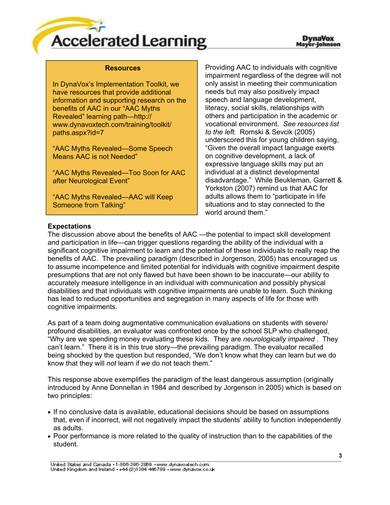

#### **Resources**

In DynaVox's Implementation Toolkit, we have resources that provide additional information and supporting research on the benefits of AAC in our "AAC Myths Revealed" learning path—http:// www.dynavoxtech.com/training/toolkit/ paths.aspx?id=7

"AAC Myths Revealed—Some Speech Means AAC is not Needed"

"AAC Myths Revealed—Too Soon for AAC after Neurological Event"

"AAC Myths Revealed—AAC will Keep Someone from Talking"

Providing AAC to individuals with cognitive impairment regardless of the degree will not only assist in meeting their communication needs but may also positively impact speech and language development, literacy, social skills, relationships with others and participation in the academic or vocational environment. *See resources list to the left.* Romski & Sevcik (2005) underscored this for young children saying, "Given the overall impact language exerts on cognitive development, a lack of expressive language skills may put an individual at a distinct developmental disadvantage." While Beukleman, Garrett & Yorkston (2007) remind us that AAC for adults allows them to "participate in life situations and to stay connected to the world around them."

#### **Expectations**

The discussion above about the benefits of AAC —the potential to impact skill development and participation in life—can trigger questions regarding the ability of the individual with a significant cognitive impairment to learn and the potential of these individuals to really reap the benefits of AAC. The prevailing paradigm (described in Jorgenson, 2005) has encouraged us to assume incompetence and limited potential for individuals with cognitive impairment despite presumptions that are not only flawed but have been shown to be inaccurate—our ability to accurately measure intelligence in an individual with communication and possibly physical disabilities and that individuals with cognitive impairments are unable to learn. Such thinking has lead to reduced opportunities and segregation in many aspects of life for those with cognitive impairments.

As part of a team doing augmentative communication evaluations on students with severe/ profound disabilities, an evaluator was confronted once by the school SLP who challenged, "Why are we spending money evaluating these kids. They are *neurologically impaired* . They can't learn." There it is in this true story—the prevailing paradigm. The evaluator recalled being shocked by the question but responded, "We don't know what they can learn but we do know that they will *not* learn if *we* do not teach them."

This response above exemplifies the paradigm of the least dangerous assumption (originally introduced by Anne Donnellan in 1984 and described by Jorgenson in 2005) which is based on two principles:

- If no conclusive data is available, educational decisions should be based on assumptions that, even if incorrect, will not negatively impact the students' ability to function independently as adults.
- Poor performance is more related to the quality of instruction than to the capabilities of the student.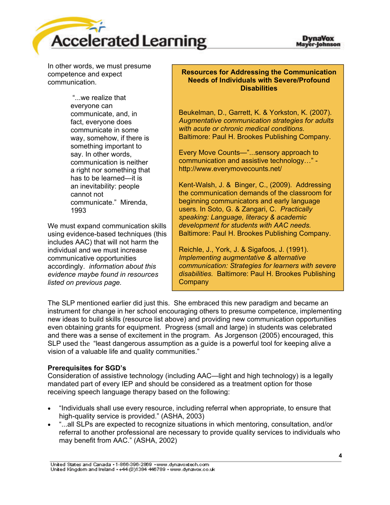

In other words, we must presume competence and expect communication.

> "...we realize that everyone can communicate, and, in fact, everyone does communicate in some way, somehow, if there is something important to say. In other words, communication is neither a right nor something that has to be learned—it is an inevitability: people cannot not communicate." Mirenda, 1993

We must expand communication skills using evidence-based techniques (this includes AAC) that will not harm the individual and we must increase communicative opportunities accordingly. *information about this evidence maybe found in resources listed on previous page.*

### **Resources for Addressing the Communication Needs of Individuals with Severe/Profound Disabilities**

Beukelman, D., Garrett, K. & Yorkston, K. (2007). *Augmentative communication strategies for adults with acute or chronic medical conditions.*  Baltimore: Paul H. Brookes Publishing Company.

Every Move Counts—"...sensory approach to communication and assistive technology…" http://www.everymovecounts.net/

Kent-Walsh, J. & Binger, C., (2009). Addressing the communication demands of the classroom for beginning communicators and early language users. In Soto, G. & Zangari, C. *Practically speaking: Language, literacy & academic development for students with AAC needs.* Baltimore: Paul H. Brookes Publishing Company.

Reichle, J., York, J. & Sigafoos, J. (1991). *Implementing augmentative & alternative communication: Strategies for learners with severe disabilities.* Baltimore: Paul H. Brookes Publishing **Company** 

The SLP mentioned earlier did just this. She embraced this new paradigm and became an instrument for change in her school encouraging others to presume competence, implementing new ideas to build skills (resource list above) and providing new communication opportunities even obtaining grants for equipment. Progress (small and large) in students was celebrated and there was a sense of excitement in the program. As Jorgenson (2005) encouraged, this SLP used the "least dangerous assumption as a guide is a powerful tool for keeping alive a vision of a valuable life and quality communities."

# **Prerequisites for SGD's**

Consideration of assistive technology (including AAC—light and high technology) is a legally mandated part of every IEP and should be considered as a treatment option for those receiving speech language therapy based on the following:

- "Individuals shall use every resource, including referral when appropriate, to ensure that high-quality service is provided." (ASHA, 2003)
- "...all SLPs are expected to recognize situations in which mentoring, consultation, and/or referral to another professional are necessary to provide quality services to individuals who may benefit from AAC." (ASHA, 2002)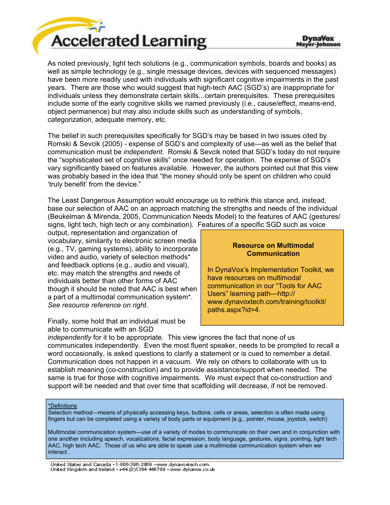

As noted previously, light tech solutions (e.g., communication symbols, boards and books) as well as simple technology (e.g., single message devices, devices with sequenced messages) have been more readily used with individuals with significant cognitive impairments in the past years. There are those who would suggest that high-tech AAC (SGD's) are inappropriate for individuals unless they demonstrate certain skills...certain prerequisites. These prerequisites include some of the early cognitive skills we named previously (i.e., cause/effect, means-end, object permanence) but may also include skills such as understanding of symbols, categorization, adequate memory, etc.

The belief in such prerequisites specifically for SGD's may be based in two issues cited by Romski & Sevcik (2005) - expense of SGD's and complexity of use—as well as the belief that communication must be *independent*. Romski & Sevcik noted that SGD's today do not require the "sophisticated set of cognitive skills" once needed for operation. The expense of SGD's vary significantly based on features available. However, the authors pointed out that this view was probably based in the idea that "the money should only be spent on children who could 'truly benefit' from the device."

The Least Dangerous Assumption would encourage us to rethink this stance and, instead, base our selection of AAC on an approach matching the strengths and needs of the individual (Beukelman & Mirenda, 2005, Communication Needs Model) to the features of AAC (gestures/ signs, light tech, high tech or any combination). Features of a specific SGD such as voice

output, representation and organization of vocabulary, similarity to electronic screen media (e.g., TV, gaming systems), ability to incorporate video and audio, variety of selection methods\* and feedback options (e.g., audio and visual), etc. may match the strengths and needs of individuals better than other forms of AAC though it should be noted that AAC is best when a part of a multimodal communication system\*. *See resource reference on right.* 

Finally, some hold that an individual must be able to communicate with an SGD

#### **Resource on Multimodal Communication**

In DynaVox's Implementation Toolkit, we have resources on multimodal communication in our "Tools for AAC Users" learning path—http:// www.dynavoxtech.com/training/toolkit/ paths.aspx?id=4.

*independently* for it to be appropriate. This view ignores the fact that none of us communicates independently. Even the most fluent speaker, needs to be prompted to recall a word occasionally, is asked questions to clarify a statement or is cued to remember a detail. Communication does not happen in a vacuum. We rely on others to collaborate with us to establish meaning (co-construction) and to provide assistance/support when needed. The same is true for those with cognitive impairments. We must expect that co-construction and support will be needed and that over time that scaffolding will decrease, if not be removed.

#### \*Definitions

Selection method—means of physically accessing keys, buttons, cells or areas, selection is often made using fingers but can be completed using a variety of body parts or equipment (e.g., pointer, mouse, joystick, switch)

Multimodal communication system—use of a variety of modes to communicate on their own and in conjunction with one another including speech, vocalizations, facial expression, body language, gestures, signs, pointing, light tech AAC, high tech AAC. Those of us who are able to speak use a multimodal communication system when we interact .